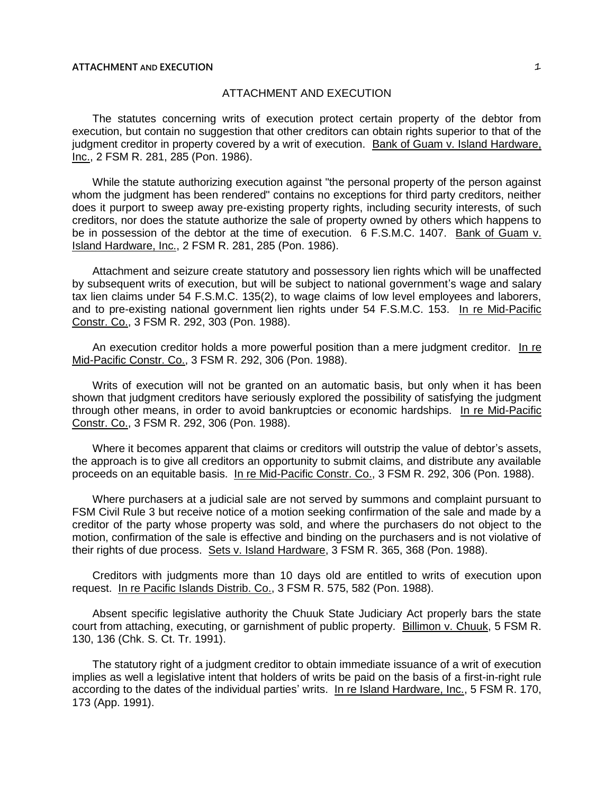# ATTACHMENT AND EXECUTION

The statutes concerning writs of execution protect certain property of the debtor from execution, but contain no suggestion that other creditors can obtain rights superior to that of the judgment creditor in property covered by a writ of execution. Bank of Guam v. Island Hardware, Inc., 2 FSM R. 281, 285 (Pon. 1986).

While the statute authorizing execution against "the personal property of the person against whom the judgment has been rendered" contains no exceptions for third party creditors, neither does it purport to sweep away pre-existing property rights, including security interests, of such creditors, nor does the statute authorize the sale of property owned by others which happens to be in possession of the debtor at the time of execution. 6 F.S.M.C. 1407. Bank of Guam v. Island Hardware, Inc., 2 FSM R. 281, 285 (Pon. 1986).

Attachment and seizure create statutory and possessory lien rights which will be unaffected by subsequent writs of execution, but will be subject to national government's wage and salary tax lien claims under 54 F.S.M.C. 135(2), to wage claims of low level employees and laborers, and to pre-existing national government lien rights under 54 F.S.M.C. 153. In re Mid-Pacific Constr. Co., 3 FSM R. 292, 303 (Pon. 1988).

An execution creditor holds a more powerful position than a mere judgment creditor. In re Mid-Pacific Constr. Co., 3 FSM R. 292, 306 (Pon. 1988).

Writs of execution will not be granted on an automatic basis, but only when it has been shown that judgment creditors have seriously explored the possibility of satisfying the judgment through other means, in order to avoid bankruptcies or economic hardships. In re Mid-Pacific Constr. Co., 3 FSM R. 292, 306 (Pon. 1988).

Where it becomes apparent that claims or creditors will outstrip the value of debtor's assets, the approach is to give all creditors an opportunity to submit claims, and distribute any available proceeds on an equitable basis. In re Mid-Pacific Constr. Co., 3 FSM R. 292, 306 (Pon. 1988).

Where purchasers at a judicial sale are not served by summons and complaint pursuant to FSM Civil Rule 3 but receive notice of a motion seeking confirmation of the sale and made by a creditor of the party whose property was sold, and where the purchasers do not object to the motion, confirmation of the sale is effective and binding on the purchasers and is not violative of their rights of due process. Sets v. Island Hardware, 3 FSM R. 365, 368 (Pon. 1988).

Creditors with judgments more than 10 days old are entitled to writs of execution upon request. In re Pacific Islands Distrib. Co., 3 FSM R. 575, 582 (Pon. 1988).

Absent specific legislative authority the Chuuk State Judiciary Act properly bars the state court from attaching, executing, or garnishment of public property. Billimon v. Chuuk, 5 FSM R. 130, 136 (Chk. S. Ct. Tr. 1991).

The statutory right of a judgment creditor to obtain immediate issuance of a writ of execution implies as well a legislative intent that holders of writs be paid on the basis of a first-in-right rule according to the dates of the individual parties' writs. In re Island Hardware, Inc., 5 FSM R. 170, 173 (App. 1991).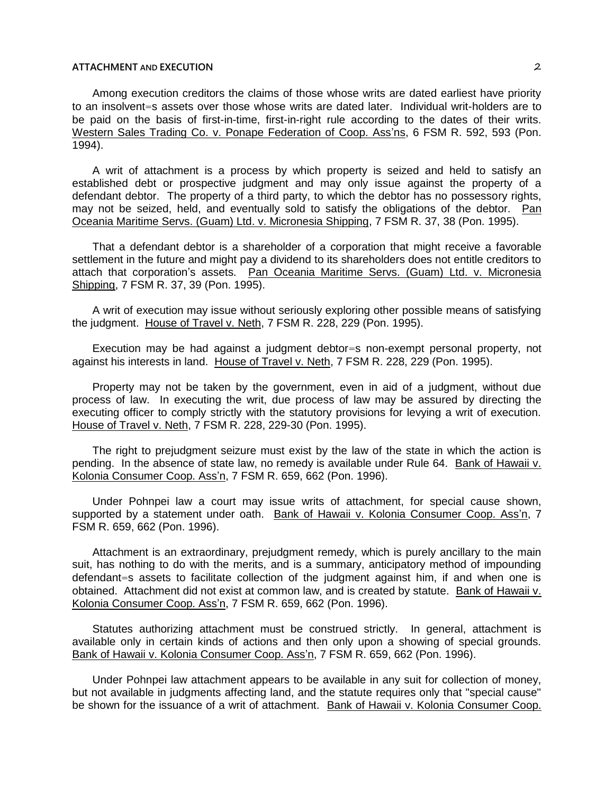Among execution creditors the claims of those whose writs are dated earliest have priority to an insolvent=s assets over those whose writs are dated later. Individual writ-holders are to be paid on the basis of first-in-time, first-in-right rule according to the dates of their writs. Western Sales Trading Co. v. Ponape Federation of Coop. Ass'ns, 6 FSM R. 592, 593 (Pon. 1994).

A writ of attachment is a process by which property is seized and held to satisfy an established debt or prospective judgment and may only issue against the property of a defendant debtor. The property of a third party, to which the debtor has no possessory rights, may not be seized, held, and eventually sold to satisfy the obligations of the debtor. Pan Oceania Maritime Servs. (Guam) Ltd. v. Micronesia Shipping, 7 FSM R. 37, 38 (Pon. 1995).

That a defendant debtor is a shareholder of a corporation that might receive a favorable settlement in the future and might pay a dividend to its shareholders does not entitle creditors to attach that corporation's assets. Pan Oceania Maritime Servs. (Guam) Ltd. v. Micronesia Shipping, 7 FSM R. 37, 39 (Pon. 1995).

A writ of execution may issue without seriously exploring other possible means of satisfying the judgment. House of Travel v. Neth, 7 FSM R. 228, 229 (Pon. 1995).

Execution may be had against a judgment debtor=s non-exempt personal property, not against his interests in land. House of Travel v. Neth, 7 FSM R. 228, 229 (Pon. 1995).

Property may not be taken by the government, even in aid of a judgment, without due process of law. In executing the writ, due process of law may be assured by directing the executing officer to comply strictly with the statutory provisions for levying a writ of execution. House of Travel v. Neth, 7 FSM R. 228, 229-30 (Pon. 1995).

The right to prejudgment seizure must exist by the law of the state in which the action is pending. In the absence of state law, no remedy is available under Rule 64. Bank of Hawaii v. Kolonia Consumer Coop. Ass'n, 7 FSM R. 659, 662 (Pon. 1996).

Under Pohnpei law a court may issue writs of attachment, for special cause shown, supported by a statement under oath. Bank of Hawaii v. Kolonia Consumer Coop. Ass'n, 7 FSM R. 659, 662 (Pon. 1996).

Attachment is an extraordinary, prejudgment remedy, which is purely ancillary to the main suit, has nothing to do with the merits, and is a summary, anticipatory method of impounding defendant=s assets to facilitate collection of the judgment against him, if and when one is obtained. Attachment did not exist at common law, and is created by statute. Bank of Hawaii v. Kolonia Consumer Coop. Ass'n, 7 FSM R. 659, 662 (Pon. 1996).

Statutes authorizing attachment must be construed strictly. In general, attachment is available only in certain kinds of actions and then only upon a showing of special grounds. Bank of Hawaii v. Kolonia Consumer Coop. Ass'n, 7 FSM R. 659, 662 (Pon. 1996).

Under Pohnpei law attachment appears to be available in any suit for collection of money, but not available in judgments affecting land, and the statute requires only that "special cause" be shown for the issuance of a writ of attachment. Bank of Hawaii v. Kolonia Consumer Coop.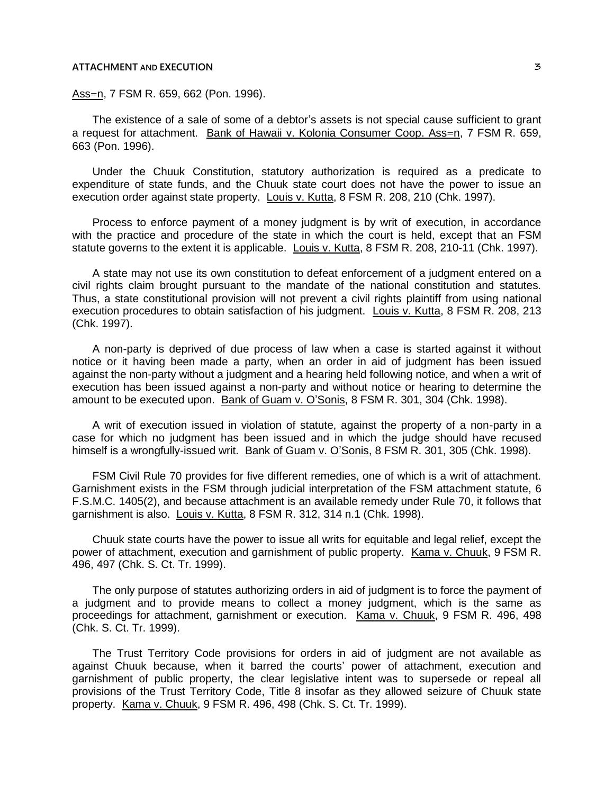Ass=n, 7 FSM R. 659, 662 (Pon. 1996).

The existence of a sale of some of a debtor's assets is not special cause sufficient to grant a request for attachment. Bank of Hawaii v. Kolonia Consumer Coop. Ass=n, 7 FSM R. 659, 663 (Pon. 1996).

Under the Chuuk Constitution, statutory authorization is required as a predicate to expenditure of state funds, and the Chuuk state court does not have the power to issue an execution order against state property. Louis v. Kutta, 8 FSM R. 208, 210 (Chk. 1997).

Process to enforce payment of a money judgment is by writ of execution, in accordance with the practice and procedure of the state in which the court is held, except that an FSM statute governs to the extent it is applicable. Louis v. Kutta, 8 FSM R. 208, 210-11 (Chk. 1997).

A state may not use its own constitution to defeat enforcement of a judgment entered on a civil rights claim brought pursuant to the mandate of the national constitution and statutes. Thus, a state constitutional provision will not prevent a civil rights plaintiff from using national execution procedures to obtain satisfaction of his judgment. Louis v. Kutta, 8 FSM R. 208, 213 (Chk. 1997).

A non-party is deprived of due process of law when a case is started against it without notice or it having been made a party, when an order in aid of judgment has been issued against the non-party without a judgment and a hearing held following notice, and when a writ of execution has been issued against a non-party and without notice or hearing to determine the amount to be executed upon. Bank of Guam v. O'Sonis, 8 FSM R. 301, 304 (Chk. 1998).

A writ of execution issued in violation of statute, against the property of a non-party in a case for which no judgment has been issued and in which the judge should have recused himself is a wrongfully-issued writ. Bank of Guam v. O'Sonis, 8 FSM R. 301, 305 (Chk. 1998).

FSM Civil Rule 70 provides for five different remedies, one of which is a writ of attachment. Garnishment exists in the FSM through judicial interpretation of the FSM attachment statute, 6 F.S.M.C. 1405(2), and because attachment is an available remedy under Rule 70, it follows that garnishment is also. Louis v. Kutta, 8 FSM R. 312, 314 n.1 (Chk. 1998).

Chuuk state courts have the power to issue all writs for equitable and legal relief, except the power of attachment, execution and garnishment of public property. Kama v. Chuuk, 9 FSM R. 496, 497 (Chk. S. Ct. Tr. 1999).

The only purpose of statutes authorizing orders in aid of judgment is to force the payment of a judgment and to provide means to collect a money judgment, which is the same as proceedings for attachment, garnishment or execution. Kama v. Chuuk, 9 FSM R. 496, 498 (Chk. S. Ct. Tr. 1999).

The Trust Territory Code provisions for orders in aid of judgment are not available as against Chuuk because, when it barred the courts' power of attachment, execution and garnishment of public property, the clear legislative intent was to supersede or repeal all provisions of the Trust Territory Code, Title 8 insofar as they allowed seizure of Chuuk state property. Kama v. Chuuk, 9 FSM R. 496, 498 (Chk. S. Ct. Tr. 1999).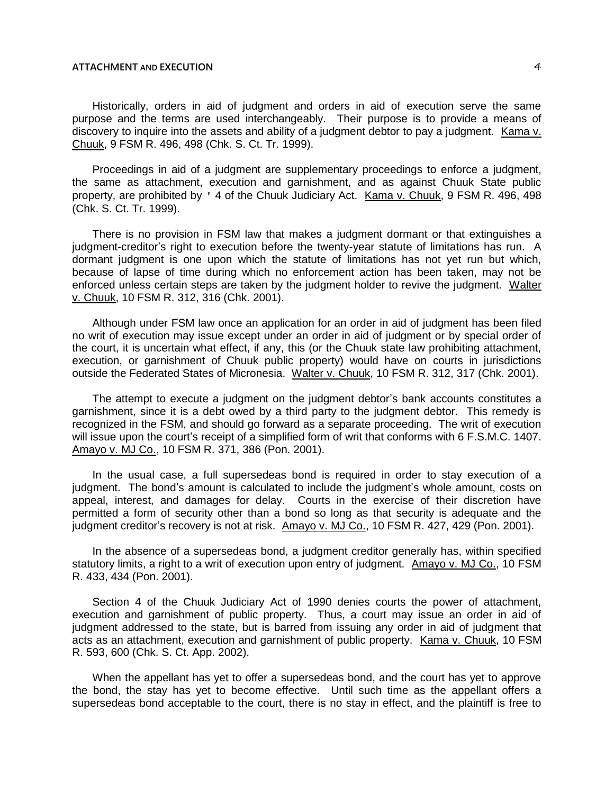Historically, orders in aid of judgment and orders in aid of execution serve the same purpose and the terms are used interchangeably. Their purpose is to provide a means of discovery to inquire into the assets and ability of a judgment debtor to pay a judgment. Kama v. Chuuk, 9 FSM R. 496, 498 (Chk. S. Ct. Tr. 1999).

Proceedings in aid of a judgment are supplementary proceedings to enforce a judgment, the same as attachment, execution and garnishment, and as against Chuuk State public property, are prohibited by ' 4 of the Chuuk Judiciary Act. Kama v. Chuuk, 9 FSM R. 496, 498 (Chk. S. Ct. Tr. 1999).

There is no provision in FSM law that makes a judgment dormant or that extinguishes a judgment-creditor's right to execution before the twenty-year statute of limitations has run. A dormant judgment is one upon which the statute of limitations has not yet run but which, because of lapse of time during which no enforcement action has been taken, may not be enforced unless certain steps are taken by the judgment holder to revive the judgment. Walter v. Chuuk, 10 FSM R. 312, 316 (Chk. 2001).

Although under FSM law once an application for an order in aid of judgment has been filed no writ of execution may issue except under an order in aid of judgment or by special order of the court, it is uncertain what effect, if any, this (or the Chuuk state law prohibiting attachment, execution, or garnishment of Chuuk public property) would have on courts in jurisdictions outside the Federated States of Micronesia. Walter v. Chuuk, 10 FSM R. 312, 317 (Chk. 2001).

The attempt to execute a judgment on the judgment debtor's bank accounts constitutes a garnishment, since it is a debt owed by a third party to the judgment debtor. This remedy is recognized in the FSM, and should go forward as a separate proceeding. The writ of execution will issue upon the court's receipt of a simplified form of writ that conforms with 6 F.S.M.C. 1407. Amayo v. MJ Co., 10 FSM R. 371, 386 (Pon. 2001).

In the usual case, a full supersedeas bond is required in order to stay execution of a judgment. The bond's amount is calculated to include the judgment's whole amount, costs on appeal, interest, and damages for delay. Courts in the exercise of their discretion have permitted a form of security other than a bond so long as that security is adequate and the judgment creditor's recovery is not at risk. Amayo v. MJ Co., 10 FSM R. 427, 429 (Pon. 2001).

In the absence of a supersedeas bond, a judgment creditor generally has, within specified statutory limits, a right to a writ of execution upon entry of judgment. Amayo v. MJ Co., 10 FSM R. 433, 434 (Pon. 2001).

Section 4 of the Chuuk Judiciary Act of 1990 denies courts the power of attachment, execution and garnishment of public property. Thus, a court may issue an order in aid of judgment addressed to the state, but is barred from issuing any order in aid of judgment that acts as an attachment, execution and garnishment of public property. Kama v. Chuuk, 10 FSM R. 593, 600 (Chk. S. Ct. App. 2002).

When the appellant has yet to offer a supersedeas bond, and the court has yet to approve the bond, the stay has yet to become effective. Until such time as the appellant offers a supersedeas bond acceptable to the court, there is no stay in effect, and the plaintiff is free to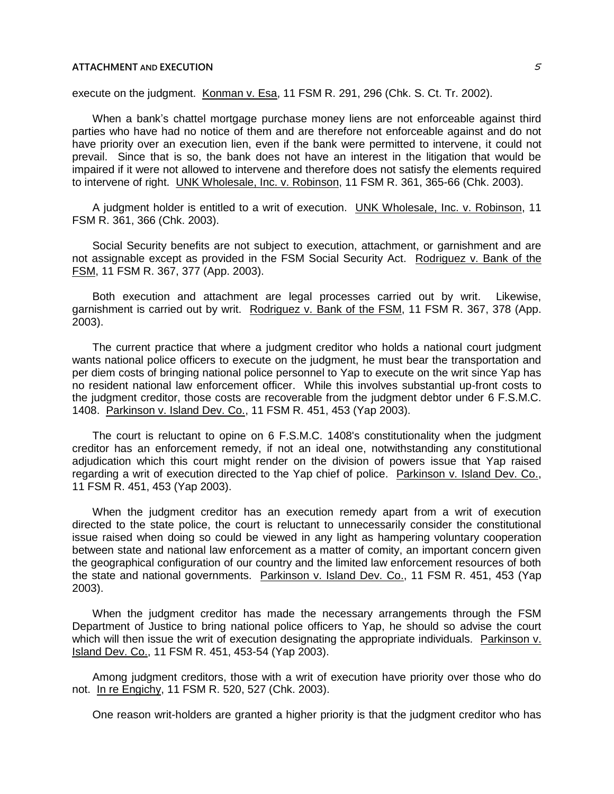execute on the judgment. Konman v. Esa, 11 FSM R. 291, 296 (Chk. S. Ct. Tr. 2002).

When a bank's chattel mortgage purchase money liens are not enforceable against third parties who have had no notice of them and are therefore not enforceable against and do not have priority over an execution lien, even if the bank were permitted to intervene, it could not prevail. Since that is so, the bank does not have an interest in the litigation that would be impaired if it were not allowed to intervene and therefore does not satisfy the elements required to intervene of right. UNK Wholesale, Inc. v. Robinson, 11 FSM R. 361, 365-66 (Chk. 2003).

A judgment holder is entitled to a writ of execution. UNK Wholesale, Inc. v. Robinson, 11 FSM R. 361, 366 (Chk. 2003).

Social Security benefits are not subject to execution, attachment, or garnishment and are not assignable except as provided in the FSM Social Security Act. Rodriguez v. Bank of the FSM, 11 FSM R. 367, 377 (App. 2003).

Both execution and attachment are legal processes carried out by writ. Likewise, garnishment is carried out by writ. Rodriguez v. Bank of the FSM, 11 FSM R. 367, 378 (App. 2003).

The current practice that where a judgment creditor who holds a national court judgment wants national police officers to execute on the judgment, he must bear the transportation and per diem costs of bringing national police personnel to Yap to execute on the writ since Yap has no resident national law enforcement officer. While this involves substantial up-front costs to the judgment creditor, those costs are recoverable from the judgment debtor under 6 F.S.M.C. 1408. Parkinson v. Island Dev. Co., 11 FSM R. 451, 453 (Yap 2003).

The court is reluctant to opine on 6 F.S.M.C. 1408's constitutionality when the judgment creditor has an enforcement remedy, if not an ideal one, notwithstanding any constitutional adjudication which this court might render on the division of powers issue that Yap raised regarding a writ of execution directed to the Yap chief of police. Parkinson v. Island Dev. Co., 11 FSM R. 451, 453 (Yap 2003).

When the judgment creditor has an execution remedy apart from a writ of execution directed to the state police, the court is reluctant to unnecessarily consider the constitutional issue raised when doing so could be viewed in any light as hampering voluntary cooperation between state and national law enforcement as a matter of comity, an important concern given the geographical configuration of our country and the limited law enforcement resources of both the state and national governments. Parkinson v. Island Dev. Co., 11 FSM R. 451, 453 (Yap 2003).

When the judgment creditor has made the necessary arrangements through the FSM Department of Justice to bring national police officers to Yap, he should so advise the court which will then issue the writ of execution designating the appropriate individuals. Parkinson v. Island Dev. Co., 11 FSM R. 451, 453-54 (Yap 2003).

Among judgment creditors, those with a writ of execution have priority over those who do not. In re Engichy, 11 FSM R. 520, 527 (Chk. 2003).

One reason writ-holders are granted a higher priority is that the judgment creditor who has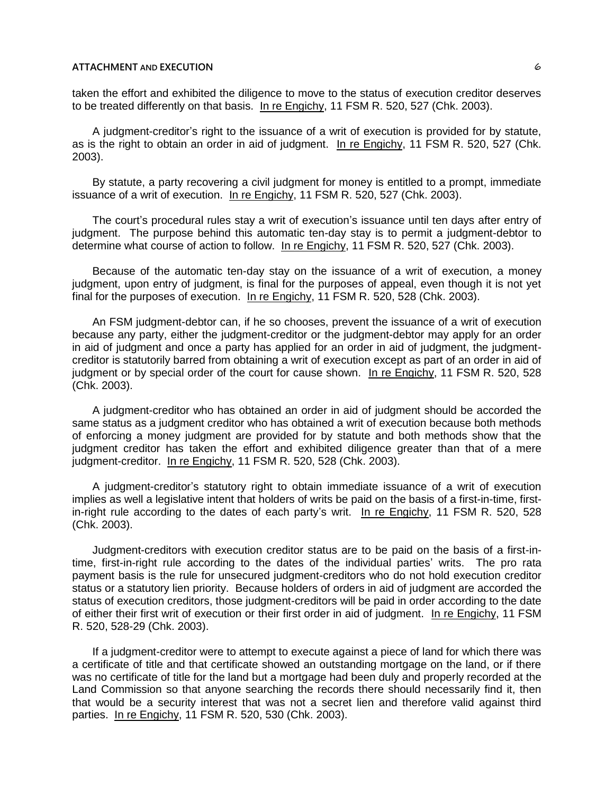taken the effort and exhibited the diligence to move to the status of execution creditor deserves to be treated differently on that basis. In re Engichy, 11 FSM R. 520, 527 (Chk. 2003).

A judgment-creditor's right to the issuance of a writ of execution is provided for by statute, as is the right to obtain an order in aid of judgment. In re Engichy, 11 FSM R. 520, 527 (Chk. 2003).

By statute, a party recovering a civil judgment for money is entitled to a prompt, immediate issuance of a writ of execution. In re Engichy, 11 FSM R. 520, 527 (Chk. 2003).

The court's procedural rules stay a writ of execution's issuance until ten days after entry of judgment. The purpose behind this automatic ten-day stay is to permit a judgment-debtor to determine what course of action to follow. In re Engichy, 11 FSM R. 520, 527 (Chk. 2003).

Because of the automatic ten-day stay on the issuance of a writ of execution, a money judgment, upon entry of judgment, is final for the purposes of appeal, even though it is not yet final for the purposes of execution. In re Engichy, 11 FSM R. 520, 528 (Chk. 2003).

An FSM judgment-debtor can, if he so chooses, prevent the issuance of a writ of execution because any party, either the judgment-creditor or the judgment-debtor may apply for an order in aid of judgment and once a party has applied for an order in aid of judgment, the judgmentcreditor is statutorily barred from obtaining a writ of execution except as part of an order in aid of judgment or by special order of the court for cause shown. In re Engichy, 11 FSM R. 520, 528 (Chk. 2003).

A judgment-creditor who has obtained an order in aid of judgment should be accorded the same status as a judgment creditor who has obtained a writ of execution because both methods of enforcing a money judgment are provided for by statute and both methods show that the judgment creditor has taken the effort and exhibited diligence greater than that of a mere judgment-creditor. In re Engichy, 11 FSM R. 520, 528 (Chk. 2003).

A judgment-creditor's statutory right to obtain immediate issuance of a writ of execution implies as well a legislative intent that holders of writs be paid on the basis of a first-in-time, firstin-right rule according to the dates of each party's writ. In re Engichy, 11 FSM R. 520, 528 (Chk. 2003).

Judgment-creditors with execution creditor status are to be paid on the basis of a first-intime, first-in-right rule according to the dates of the individual parties' writs. The pro rata payment basis is the rule for unsecured judgment-creditors who do not hold execution creditor status or a statutory lien priority. Because holders of orders in aid of judgment are accorded the status of execution creditors, those judgment-creditors will be paid in order according to the date of either their first writ of execution or their first order in aid of judgment. In re Engichy, 11 FSM R. 520, 528-29 (Chk. 2003).

If a judgment-creditor were to attempt to execute against a piece of land for which there was a certificate of title and that certificate showed an outstanding mortgage on the land, or if there was no certificate of title for the land but a mortgage had been duly and properly recorded at the Land Commission so that anyone searching the records there should necessarily find it, then that would be a security interest that was not a secret lien and therefore valid against third parties. In re Engichy, 11 FSM R. 520, 530 (Chk. 2003).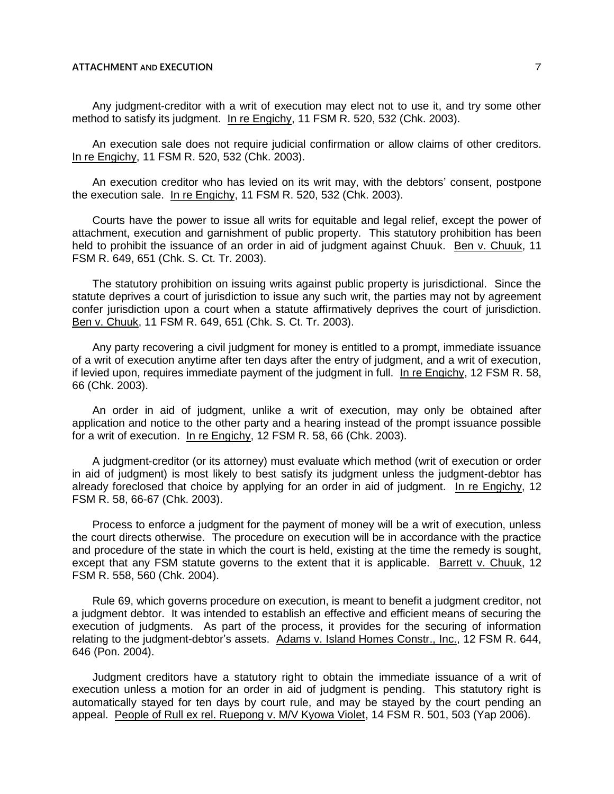Any judgment-creditor with a writ of execution may elect not to use it, and try some other method to satisfy its judgment. In re Engichy, 11 FSM R. 520, 532 (Chk. 2003).

An execution sale does not require judicial confirmation or allow claims of other creditors. In re Engichy, 11 FSM R. 520, 532 (Chk. 2003).

An execution creditor who has levied on its writ may, with the debtors' consent, postpone the execution sale. In re Engichy, 11 FSM R. 520, 532 (Chk. 2003).

Courts have the power to issue all writs for equitable and legal relief, except the power of attachment, execution and garnishment of public property. This statutory prohibition has been held to prohibit the issuance of an order in aid of judgment against Chuuk. Ben v. Chuuk, 11 FSM R. 649, 651 (Chk. S. Ct. Tr. 2003).

The statutory prohibition on issuing writs against public property is jurisdictional. Since the statute deprives a court of jurisdiction to issue any such writ, the parties may not by agreement confer jurisdiction upon a court when a statute affirmatively deprives the court of jurisdiction. Ben v. Chuuk, 11 FSM R. 649, 651 (Chk. S. Ct. Tr. 2003).

Any party recovering a civil judgment for money is entitled to a prompt, immediate issuance of a writ of execution anytime after ten days after the entry of judgment, and a writ of execution, if levied upon, requires immediate payment of the judgment in full. In re Engichy, 12 FSM R. 58, 66 (Chk. 2003).

An order in aid of judgment, unlike a writ of execution, may only be obtained after application and notice to the other party and a hearing instead of the prompt issuance possible for a writ of execution. In re Engichy, 12 FSM R. 58, 66 (Chk. 2003).

A judgment-creditor (or its attorney) must evaluate which method (writ of execution or order in aid of judgment) is most likely to best satisfy its judgment unless the judgment-debtor has already foreclosed that choice by applying for an order in aid of judgment. In re Engichy, 12 FSM R. 58, 66-67 (Chk. 2003).

Process to enforce a judgment for the payment of money will be a writ of execution, unless the court directs otherwise. The procedure on execution will be in accordance with the practice and procedure of the state in which the court is held, existing at the time the remedy is sought, except that any FSM statute governs to the extent that it is applicable. Barrett v. Chuuk, 12 FSM R. 558, 560 (Chk. 2004).

Rule 69, which governs procedure on execution, is meant to benefit a judgment creditor, not a judgment debtor. It was intended to establish an effective and efficient means of securing the execution of judgments. As part of the process, it provides for the securing of information relating to the judgment-debtor's assets. Adams v. Island Homes Constr., Inc., 12 FSM R. 644, 646 (Pon. 2004).

Judgment creditors have a statutory right to obtain the immediate issuance of a writ of execution unless a motion for an order in aid of judgment is pending. This statutory right is automatically stayed for ten days by court rule, and may be stayed by the court pending an appeal. People of Rull ex rel. Ruepong v. M/V Kyowa Violet, 14 FSM R. 501, 503 (Yap 2006).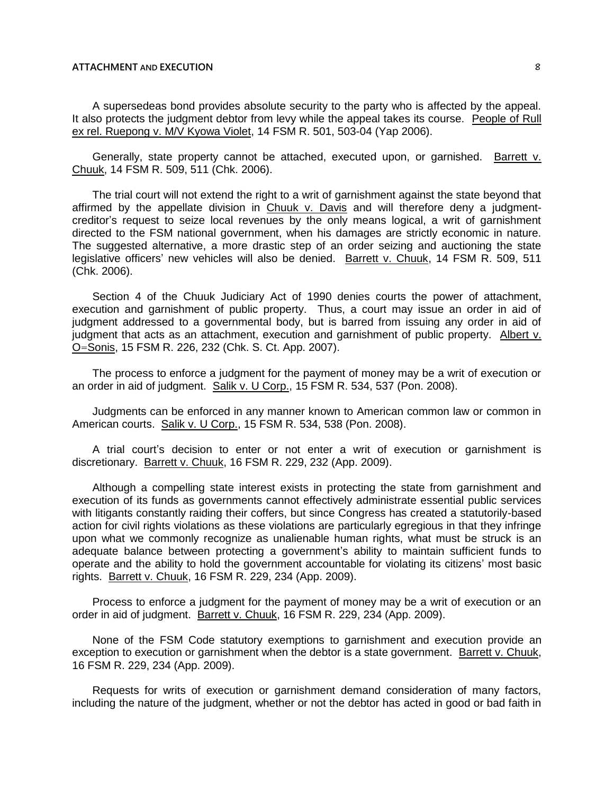A supersedeas bond provides absolute security to the party who is affected by the appeal. It also protects the judgment debtor from levy while the appeal takes its course. People of Rull ex rel. Ruepong v. M/V Kyowa Violet, 14 FSM R. 501, 503-04 (Yap 2006).

Generally, state property cannot be attached, executed upon, or garnished. Barrett v. Chuuk, 14 FSM R. 509, 511 (Chk. 2006).

The trial court will not extend the right to a writ of garnishment against the state beyond that affirmed by the appellate division in Chuuk v. Davis and will therefore deny a judgmentcreditor's request to seize local revenues by the only means logical, a writ of garnishment directed to the FSM national government, when his damages are strictly economic in nature. The suggested alternative, a more drastic step of an order seizing and auctioning the state legislative officers' new vehicles will also be denied. Barrett v. Chuuk, 14 FSM R. 509, 511 (Chk. 2006).

Section 4 of the Chuuk Judiciary Act of 1990 denies courts the power of attachment, execution and garnishment of public property. Thus, a court may issue an order in aid of judgment addressed to a governmental body, but is barred from issuing any order in aid of judgment that acts as an attachment, execution and garnishment of public property. Albert v. O=Sonis, 15 FSM R. 226, 232 (Chk. S. Ct. App. 2007).

The process to enforce a judgment for the payment of money may be a writ of execution or an order in aid of judgment. Salik v. U Corp., 15 FSM R. 534, 537 (Pon. 2008).

Judgments can be enforced in any manner known to American common law or common in American courts. Salik v. U Corp., 15 FSM R. 534, 538 (Pon. 2008).

A trial court's decision to enter or not enter a writ of execution or garnishment is discretionary. Barrett v. Chuuk, 16 FSM R. 229, 232 (App. 2009).

Although a compelling state interest exists in protecting the state from garnishment and execution of its funds as governments cannot effectively administrate essential public services with litigants constantly raiding their coffers, but since Congress has created a statutorily-based action for civil rights violations as these violations are particularly egregious in that they infringe upon what we commonly recognize as unalienable human rights, what must be struck is an adequate balance between protecting a government's ability to maintain sufficient funds to operate and the ability to hold the government accountable for violating its citizens' most basic rights. Barrett v. Chuuk, 16 FSM R. 229, 234 (App. 2009).

Process to enforce a judgment for the payment of money may be a writ of execution or an order in aid of judgment. Barrett v. Chuuk, 16 FSM R. 229, 234 (App. 2009).

None of the FSM Code statutory exemptions to garnishment and execution provide an exception to execution or garnishment when the debtor is a state government. Barrett v. Chuuk, 16 FSM R. 229, 234 (App. 2009).

Requests for writs of execution or garnishment demand consideration of many factors, including the nature of the judgment, whether or not the debtor has acted in good or bad faith in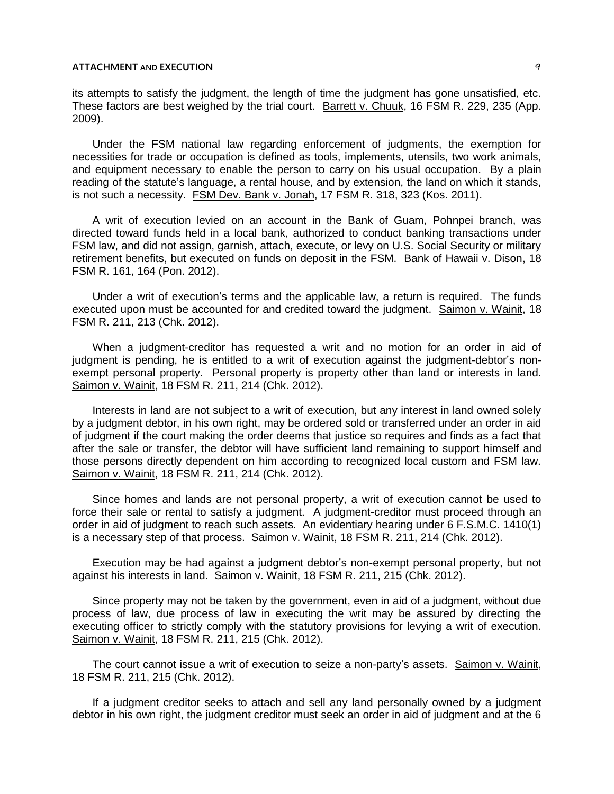its attempts to satisfy the judgment, the length of time the judgment has gone unsatisfied, etc. These factors are best weighed by the trial court. Barrett v. Chuuk, 16 FSM R. 229, 235 (App. 2009).

Under the FSM national law regarding enforcement of judgments, the exemption for necessities for trade or occupation is defined as tools, implements, utensils, two work animals, and equipment necessary to enable the person to carry on his usual occupation. By a plain reading of the statute's language, a rental house, and by extension, the land on which it stands, is not such a necessity. FSM Dev. Bank v. Jonah, 17 FSM R. 318, 323 (Kos. 2011).

A writ of execution levied on an account in the Bank of Guam, Pohnpei branch, was directed toward funds held in a local bank, authorized to conduct banking transactions under FSM law, and did not assign, garnish, attach, execute, or levy on U.S. Social Security or military retirement benefits, but executed on funds on deposit in the FSM. Bank of Hawaii v. Dison, 18 FSM R. 161, 164 (Pon. 2012).

Under a writ of execution's terms and the applicable law, a return is required. The funds executed upon must be accounted for and credited toward the judgment. Saimon v. Wainit, 18 FSM R. 211, 213 (Chk. 2012).

When a judgment-creditor has requested a writ and no motion for an order in aid of judgment is pending, he is entitled to a writ of execution against the judgment-debtor's nonexempt personal property. Personal property is property other than land or interests in land. Saimon v. Wainit, 18 FSM R. 211, 214 (Chk. 2012).

Interests in land are not subject to a writ of execution, but any interest in land owned solely by a judgment debtor, in his own right, may be ordered sold or transferred under an order in aid of judgment if the court making the order deems that justice so requires and finds as a fact that after the sale or transfer, the debtor will have sufficient land remaining to support himself and those persons directly dependent on him according to recognized local custom and FSM law. Saimon v. Wainit, 18 FSM R. 211, 214 (Chk. 2012).

Since homes and lands are not personal property, a writ of execution cannot be used to force their sale or rental to satisfy a judgment. A judgment-creditor must proceed through an order in aid of judgment to reach such assets. An evidentiary hearing under 6 F.S.M.C. 1410(1) is a necessary step of that process. Saimon v. Wainit, 18 FSM R. 211, 214 (Chk. 2012).

Execution may be had against a judgment debtor's non-exempt personal property, but not against his interests in land. Saimon v. Wainit, 18 FSM R. 211, 215 (Chk. 2012).

Since property may not be taken by the government, even in aid of a judgment, without due process of law, due process of law in executing the writ may be assured by directing the executing officer to strictly comply with the statutory provisions for levying a writ of execution. Saimon v. Wainit, 18 FSM R. 211, 215 (Chk. 2012).

The court cannot issue a writ of execution to seize a non-party's assets. Saimon v. Wainit, 18 FSM R. 211, 215 (Chk. 2012).

If a judgment creditor seeks to attach and sell any land personally owned by a judgment debtor in his own right, the judgment creditor must seek an order in aid of judgment and at the 6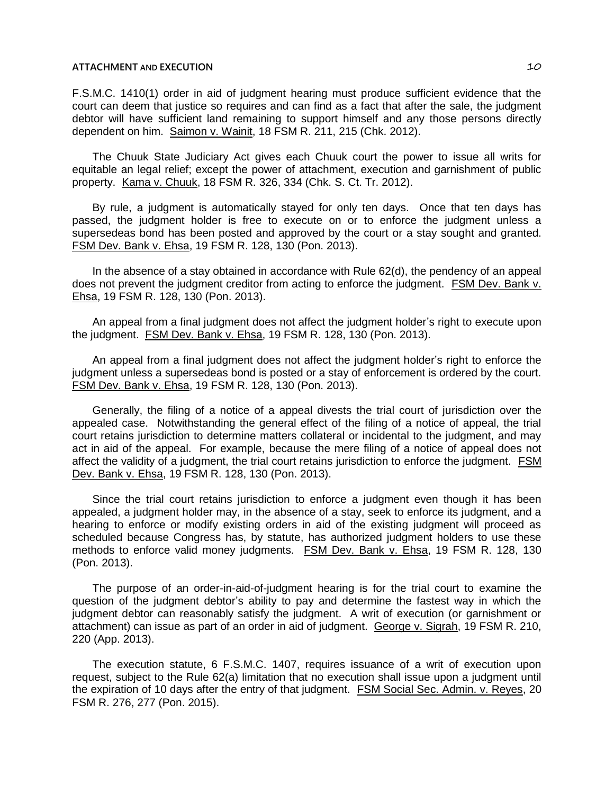F.S.M.C. 1410(1) order in aid of judgment hearing must produce sufficient evidence that the court can deem that justice so requires and can find as a fact that after the sale, the judgment debtor will have sufficient land remaining to support himself and any those persons directly dependent on him. Saimon v. Wainit, 18 FSM R. 211, 215 (Chk. 2012).

The Chuuk State Judiciary Act gives each Chuuk court the power to issue all writs for equitable an legal relief; except the power of attachment, execution and garnishment of public property. Kama v. Chuuk, 18 FSM R. 326, 334 (Chk. S. Ct. Tr. 2012).

By rule, a judgment is automatically stayed for only ten days. Once that ten days has passed, the judgment holder is free to execute on or to enforce the judgment unless a supersedeas bond has been posted and approved by the court or a stay sought and granted. FSM Dev. Bank v. Ehsa, 19 FSM R. 128, 130 (Pon. 2013).

In the absence of a stay obtained in accordance with Rule 62(d), the pendency of an appeal does not prevent the judgment creditor from acting to enforce the judgment. FSM Dev. Bank v. Ehsa, 19 FSM R. 128, 130 (Pon. 2013).

An appeal from a final judgment does not affect the judgment holder's right to execute upon the judgment. FSM Dev. Bank v. Ehsa, 19 FSM R. 128, 130 (Pon. 2013).

An appeal from a final judgment does not affect the judgment holder's right to enforce the judgment unless a supersedeas bond is posted or a stay of enforcement is ordered by the court. FSM Dev. Bank v. Ehsa, 19 FSM R. 128, 130 (Pon. 2013).

Generally, the filing of a notice of a appeal divests the trial court of jurisdiction over the appealed case. Notwithstanding the general effect of the filing of a notice of appeal, the trial court retains jurisdiction to determine matters collateral or incidental to the judgment, and may act in aid of the appeal. For example, because the mere filing of a notice of appeal does not affect the validity of a judgment, the trial court retains jurisdiction to enforce the judgment. FSM Dev. Bank v. Ehsa, 19 FSM R. 128, 130 (Pon. 2013).

Since the trial court retains jurisdiction to enforce a judgment even though it has been appealed, a judgment holder may, in the absence of a stay, seek to enforce its judgment, and a hearing to enforce or modify existing orders in aid of the existing judgment will proceed as scheduled because Congress has, by statute, has authorized judgment holders to use these methods to enforce valid money judgments. FSM Dev. Bank v. Ehsa, 19 FSM R. 128, 130 (Pon. 2013).

The purpose of an order-in-aid-of-judgment hearing is for the trial court to examine the question of the judgment debtor's ability to pay and determine the fastest way in which the judgment debtor can reasonably satisfy the judgment. A writ of execution (or garnishment or attachment) can issue as part of an order in aid of judgment. George v. Sigrah, 19 FSM R. 210, 220 (App. 2013).

The execution statute, 6 F.S.M.C. 1407, requires issuance of a writ of execution upon request, subject to the Rule 62(a) limitation that no execution shall issue upon a judgment until the expiration of 10 days after the entry of that judgment. FSM Social Sec. Admin. v. Reyes, 20 FSM R. 276, 277 (Pon. 2015).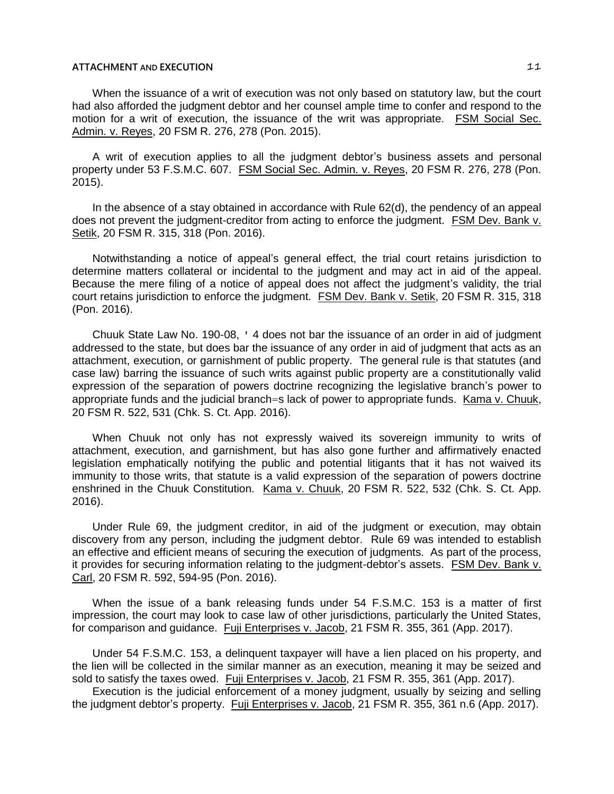When the issuance of a writ of execution was not only based on statutory law, but the court had also afforded the judgment debtor and her counsel ample time to confer and respond to the motion for a writ of execution, the issuance of the writ was appropriate. FSM Social Sec. Admin. v. Reyes, 20 FSM R. 276, 278 (Pon. 2015).

A writ of execution applies to all the judgment debtor's business assets and personal property under 53 F.S.M.C. 607. FSM Social Sec. Admin. v. Reyes, 20 FSM R. 276, 278 (Pon. 2015).

In the absence of a stay obtained in accordance with Rule 62(d), the pendency of an appeal does not prevent the judgment-creditor from acting to enforce the judgment. FSM Dev. Bank v. Setik, 20 FSM R. 315, 318 (Pon. 2016).

Notwithstanding a notice of appeal's general effect, the trial court retains jurisdiction to determine matters collateral or incidental to the judgment and may act in aid of the appeal. Because the mere filing of a notice of appeal does not affect the judgment's validity, the trial court retains jurisdiction to enforce the judgment. FSM Dev. Bank v. Setik, 20 FSM R. 315, 318 (Pon. 2016).

Chuuk State Law No. 190-08, ' 4 does not bar the issuance of an order in aid of judgment addressed to the state, but does bar the issuance of any order in aid of judgment that acts as an attachment, execution, or garnishment of public property. The general rule is that statutes (and case law) barring the issuance of such writs against public property are a constitutionally valid expression of the separation of powers doctrine recognizing the legislative branch's power to appropriate funds and the judicial branch=s lack of power to appropriate funds. Kama v. Chuuk, 20 FSM R. 522, 531 (Chk. S. Ct. App. 2016).

When Chuuk not only has not expressly waived its sovereign immunity to writs of attachment, execution, and garnishment, but has also gone further and affirmatively enacted legislation emphatically notifying the public and potential litigants that it has not waived its immunity to those writs, that statute is a valid expression of the separation of powers doctrine enshrined in the Chuuk Constitution. Kama v. Chuuk, 20 FSM R. 522, 532 (Chk. S. Ct. App. 2016).

Under Rule 69, the judgment creditor, in aid of the judgment or execution, may obtain discovery from any person, including the judgment debtor. Rule 69 was intended to establish an effective and efficient means of securing the execution of judgments. As part of the process, it provides for securing information relating to the judgment-debtor's assets. FSM Dev. Bank v. Carl, 20 FSM R. 592, 594-95 (Pon. 2016).

When the issue of a bank releasing funds under 54 F.S.M.C. 153 is a matter of first impression, the court may look to case law of other jurisdictions, particularly the United States, for comparison and guidance. Fuji Enterprises v. Jacob, 21 FSM R. 355, 361 (App. 2017).

Under 54 F.S.M.C. 153, a delinquent taxpayer will have a lien placed on his property, and the lien will be collected in the similar manner as an execution, meaning it may be seized and sold to satisfy the taxes owed. Fuji Enterprises v. Jacob, 21 FSM R. 355, 361 (App. 2017).

Execution is the judicial enforcement of a money judgment, usually by seizing and selling the judgment debtor's property. Fuji Enterprises v. Jacob, 21 FSM R. 355, 361 n.6 (App. 2017).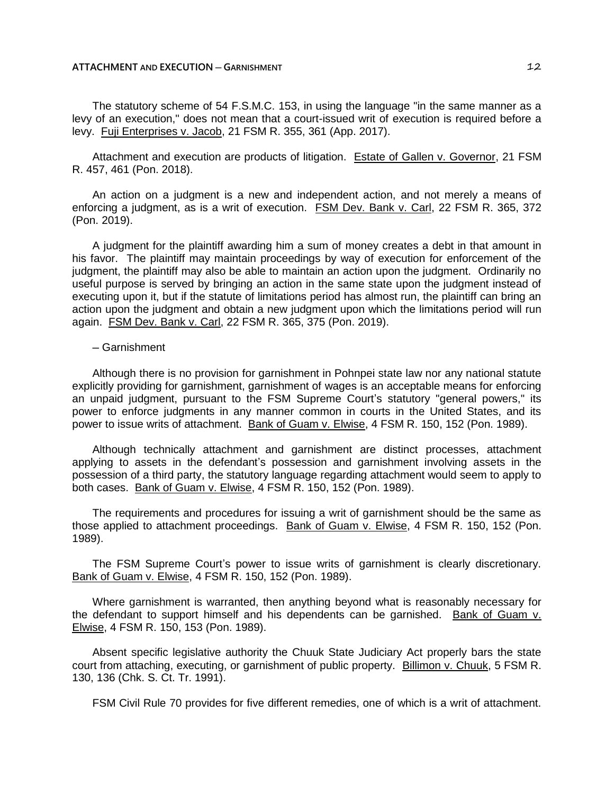The statutory scheme of 54 F.S.M.C. 153, in using the language "in the same manner as a levy of an execution," does not mean that a court-issued writ of execution is required before a levy. Fuji Enterprises v. Jacob, 21 FSM R. 355, 361 (App. 2017).

Attachment and execution are products of litigation. Estate of Gallen v. Governor, 21 FSM R. 457, 461 (Pon. 2018).

An action on a judgment is a new and independent action, and not merely a means of enforcing a judgment, as is a writ of execution. FSM Dev. Bank v. Carl, 22 FSM R. 365, 372 (Pon. 2019).

A judgment for the plaintiff awarding him a sum of money creates a debt in that amount in his favor. The plaintiff may maintain proceedings by way of execution for enforcement of the judgment, the plaintiff may also be able to maintain an action upon the judgment. Ordinarily no useful purpose is served by bringing an action in the same state upon the judgment instead of executing upon it, but if the statute of limitations period has almost run, the plaintiff can bring an action upon the judgment and obtain a new judgment upon which the limitations period will run again. FSM Dev. Bank v. Carl, 22 FSM R. 365, 375 (Pon. 2019).

## ─ Garnishment

Although there is no provision for garnishment in Pohnpei state law nor any national statute explicitly providing for garnishment, garnishment of wages is an acceptable means for enforcing an unpaid judgment, pursuant to the FSM Supreme Court's statutory "general powers," its power to enforce judgments in any manner common in courts in the United States, and its power to issue writs of attachment. Bank of Guam v. Elwise, 4 FSM R. 150, 152 (Pon. 1989).

Although technically attachment and garnishment are distinct processes, attachment applying to assets in the defendant's possession and garnishment involving assets in the possession of a third party, the statutory language regarding attachment would seem to apply to both cases. Bank of Guam v. Elwise, 4 FSM R. 150, 152 (Pon. 1989).

The requirements and procedures for issuing a writ of garnishment should be the same as those applied to attachment proceedings. Bank of Guam v. Elwise, 4 FSM R. 150, 152 (Pon. 1989).

The FSM Supreme Court's power to issue writs of garnishment is clearly discretionary. Bank of Guam v. Elwise, 4 FSM R. 150, 152 (Pon. 1989).

Where garnishment is warranted, then anything beyond what is reasonably necessary for the defendant to support himself and his dependents can be garnished. Bank of Guam v. Elwise, 4 FSM R. 150, 153 (Pon. 1989).

Absent specific legislative authority the Chuuk State Judiciary Act properly bars the state court from attaching, executing, or garnishment of public property. Billimon v. Chuuk, 5 FSM R. 130, 136 (Chk. S. Ct. Tr. 1991).

FSM Civil Rule 70 provides for five different remedies, one of which is a writ of attachment.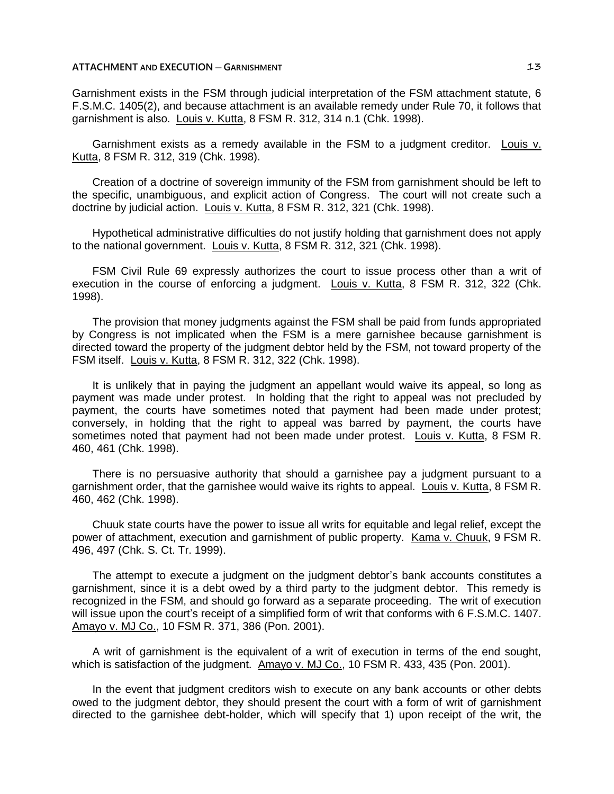Garnishment exists in the FSM through judicial interpretation of the FSM attachment statute, 6 F.S.M.C. 1405(2), and because attachment is an available remedy under Rule 70, it follows that garnishment is also. Louis v. Kutta, 8 FSM R. 312, 314 n.1 (Chk. 1998).

Garnishment exists as a remedy available in the FSM to a judgment creditor. Louis v. Kutta, 8 FSM R. 312, 319 (Chk. 1998).

Creation of a doctrine of sovereign immunity of the FSM from garnishment should be left to the specific, unambiguous, and explicit action of Congress. The court will not create such a doctrine by judicial action. Louis v. Kutta, 8 FSM R. 312, 321 (Chk. 1998).

Hypothetical administrative difficulties do not justify holding that garnishment does not apply to the national government. Louis v. Kutta, 8 FSM R. 312, 321 (Chk. 1998).

FSM Civil Rule 69 expressly authorizes the court to issue process other than a writ of execution in the course of enforcing a judgment. Louis v. Kutta, 8 FSM R. 312, 322 (Chk. 1998).

The provision that money judgments against the FSM shall be paid from funds appropriated by Congress is not implicated when the FSM is a mere garnishee because garnishment is directed toward the property of the judgment debtor held by the FSM, not toward property of the FSM itself. Louis v. Kutta, 8 FSM R. 312, 322 (Chk. 1998).

It is unlikely that in paying the judgment an appellant would waive its appeal, so long as payment was made under protest. In holding that the right to appeal was not precluded by payment, the courts have sometimes noted that payment had been made under protest; conversely, in holding that the right to appeal was barred by payment, the courts have sometimes noted that payment had not been made under protest. Louis v. Kutta, 8 FSM R. 460, 461 (Chk. 1998).

There is no persuasive authority that should a garnishee pay a judgment pursuant to a garnishment order, that the garnishee would waive its rights to appeal. Louis v. Kutta, 8 FSM R. 460, 462 (Chk. 1998).

Chuuk state courts have the power to issue all writs for equitable and legal relief, except the power of attachment, execution and garnishment of public property. Kama v. Chuuk, 9 FSM R. 496, 497 (Chk. S. Ct. Tr. 1999).

The attempt to execute a judgment on the judgment debtor's bank accounts constitutes a garnishment, since it is a debt owed by a third party to the judgment debtor. This remedy is recognized in the FSM, and should go forward as a separate proceeding. The writ of execution will issue upon the court's receipt of a simplified form of writ that conforms with 6 F.S.M.C. 1407. Amayo v. MJ Co., 10 FSM R. 371, 386 (Pon. 2001).

A writ of garnishment is the equivalent of a writ of execution in terms of the end sought, which is satisfaction of the judgment. Amayo v. MJ Co., 10 FSM R. 433, 435 (Pon. 2001).

In the event that judgment creditors wish to execute on any bank accounts or other debts owed to the judgment debtor, they should present the court with a form of writ of garnishment directed to the garnishee debt-holder, which will specify that 1) upon receipt of the writ, the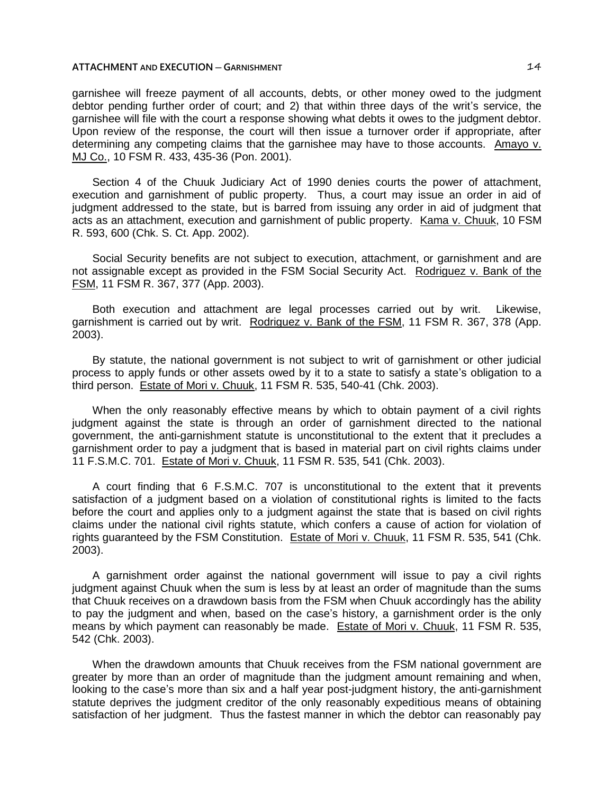garnishee will freeze payment of all accounts, debts, or other money owed to the judgment debtor pending further order of court; and 2) that within three days of the writ's service, the garnishee will file with the court a response showing what debts it owes to the judgment debtor. Upon review of the response, the court will then issue a turnover order if appropriate, after determining any competing claims that the garnishee may have to those accounts. Amayo v. MJ Co., 10 FSM R. 433, 435-36 (Pon. 2001).

Section 4 of the Chuuk Judiciary Act of 1990 denies courts the power of attachment, execution and garnishment of public property. Thus, a court may issue an order in aid of judgment addressed to the state, but is barred from issuing any order in aid of judgment that acts as an attachment, execution and garnishment of public property. Kama v. Chuuk, 10 FSM R. 593, 600 (Chk. S. Ct. App. 2002).

Social Security benefits are not subject to execution, attachment, or garnishment and are not assignable except as provided in the FSM Social Security Act. Rodriguez v. Bank of the FSM, 11 FSM R. 367, 377 (App. 2003).

Both execution and attachment are legal processes carried out by writ. Likewise, garnishment is carried out by writ. Rodriguez v. Bank of the FSM, 11 FSM R. 367, 378 (App. 2003).

By statute, the national government is not subject to writ of garnishment or other judicial process to apply funds or other assets owed by it to a state to satisfy a state's obligation to a third person. Estate of Mori v. Chuuk, 11 FSM R. 535, 540-41 (Chk. 2003).

When the only reasonably effective means by which to obtain payment of a civil rights judgment against the state is through an order of garnishment directed to the national government, the anti-garnishment statute is unconstitutional to the extent that it precludes a garnishment order to pay a judgment that is based in material part on civil rights claims under 11 F.S.M.C. 701. Estate of Mori v. Chuuk, 11 FSM R. 535, 541 (Chk. 2003).

A court finding that 6 F.S.M.C. 707 is unconstitutional to the extent that it prevents satisfaction of a judgment based on a violation of constitutional rights is limited to the facts before the court and applies only to a judgment against the state that is based on civil rights claims under the national civil rights statute, which confers a cause of action for violation of rights guaranteed by the FSM Constitution. Estate of Mori v. Chuuk, 11 FSM R. 535, 541 (Chk. 2003).

A garnishment order against the national government will issue to pay a civil rights judgment against Chuuk when the sum is less by at least an order of magnitude than the sums that Chuuk receives on a drawdown basis from the FSM when Chuuk accordingly has the ability to pay the judgment and when, based on the case's history, a garnishment order is the only means by which payment can reasonably be made. Estate of Mori v. Chuuk, 11 FSM R. 535, 542 (Chk. 2003).

When the drawdown amounts that Chuuk receives from the FSM national government are greater by more than an order of magnitude than the judgment amount remaining and when, looking to the case's more than six and a half year post-judgment history, the anti-garnishment statute deprives the judgment creditor of the only reasonably expeditious means of obtaining satisfaction of her judgment. Thus the fastest manner in which the debtor can reasonably pay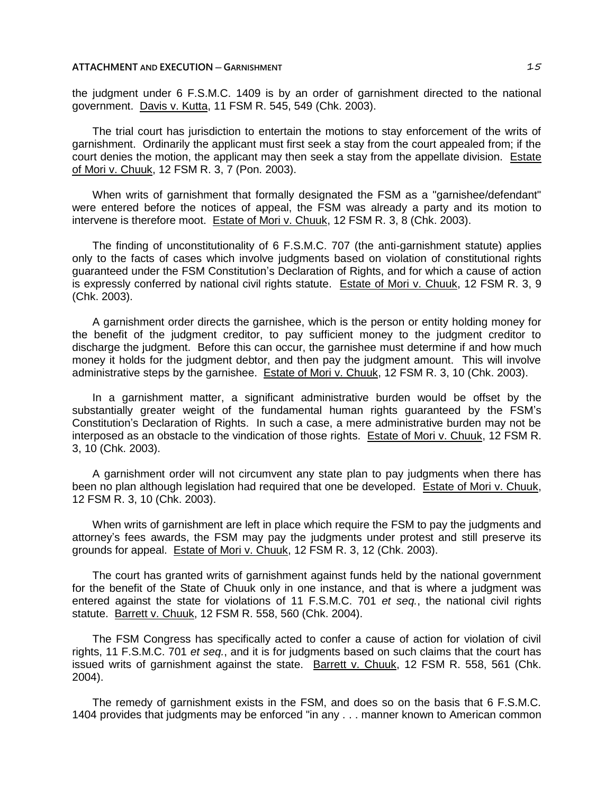the judgment under 6 F.S.M.C. 1409 is by an order of garnishment directed to the national government. Davis v. Kutta, 11 FSM R. 545, 549 (Chk. 2003).

The trial court has jurisdiction to entertain the motions to stay enforcement of the writs of garnishment. Ordinarily the applicant must first seek a stay from the court appealed from; if the court denies the motion, the applicant may then seek a stay from the appellate division. Estate of Mori v. Chuuk, 12 FSM R. 3, 7 (Pon. 2003).

When writs of garnishment that formally designated the FSM as a "garnishee/defendant" were entered before the notices of appeal, the FSM was already a party and its motion to intervene is therefore moot. Estate of Mori v. Chuuk, 12 FSM R. 3, 8 (Chk. 2003).

The finding of unconstitutionality of 6 F.S.M.C. 707 (the anti-garnishment statute) applies only to the facts of cases which involve judgments based on violation of constitutional rights guaranteed under the FSM Constitution's Declaration of Rights, and for which a cause of action is expressly conferred by national civil rights statute. Estate of Mori v. Chuuk, 12 FSM R. 3, 9 (Chk. 2003).

A garnishment order directs the garnishee, which is the person or entity holding money for the benefit of the judgment creditor, to pay sufficient money to the judgment creditor to discharge the judgment. Before this can occur, the garnishee must determine if and how much money it holds for the judgment debtor, and then pay the judgment amount. This will involve administrative steps by the garnishee. Estate of Mori v. Chuuk, 12 FSM R. 3, 10 (Chk. 2003).

In a garnishment matter, a significant administrative burden would be offset by the substantially greater weight of the fundamental human rights guaranteed by the FSM's Constitution's Declaration of Rights. In such a case, a mere administrative burden may not be interposed as an obstacle to the vindication of those rights. Estate of Mori v. Chuuk, 12 FSM R. 3, 10 (Chk. 2003).

A garnishment order will not circumvent any state plan to pay judgments when there has been no plan although legislation had required that one be developed. Estate of Mori v. Chuuk, 12 FSM R. 3, 10 (Chk. 2003).

When writs of garnishment are left in place which require the FSM to pay the judgments and attorney's fees awards, the FSM may pay the judgments under protest and still preserve its grounds for appeal. Estate of Mori v. Chuuk, 12 FSM R. 3, 12 (Chk. 2003).

The court has granted writs of garnishment against funds held by the national government for the benefit of the State of Chuuk only in one instance, and that is where a judgment was entered against the state for violations of 11 F.S.M.C. 701 *et seq.*, the national civil rights statute. Barrett v. Chuuk, 12 FSM R. 558, 560 (Chk. 2004).

The FSM Congress has specifically acted to confer a cause of action for violation of civil rights, 11 F.S.M.C. 701 *et seq.*, and it is for judgments based on such claims that the court has issued writs of garnishment against the state. Barrett v. Chuuk, 12 FSM R. 558, 561 (Chk. 2004).

The remedy of garnishment exists in the FSM, and does so on the basis that 6 F.S.M.C. 1404 provides that judgments may be enforced "in any . . . manner known to American common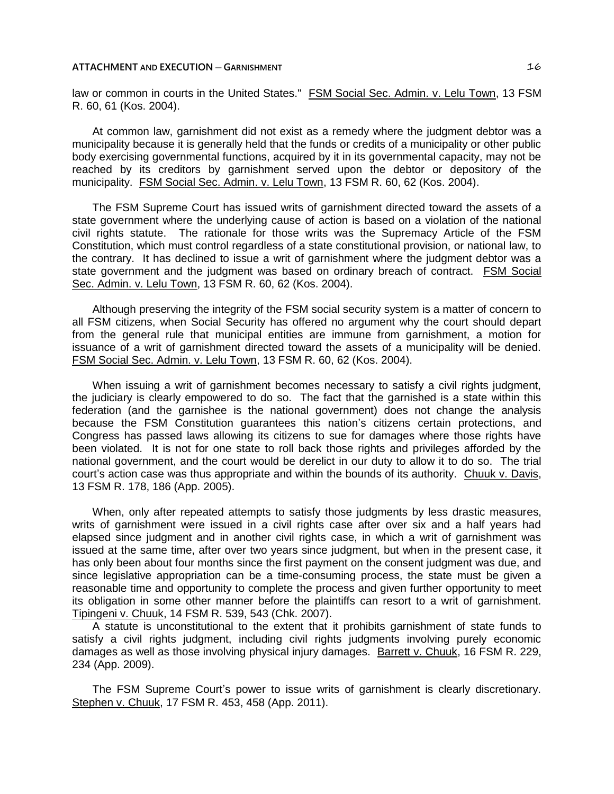law or common in courts in the United States." FSM Social Sec. Admin. v. Lelu Town, 13 FSM R. 60, 61 (Kos. 2004).

At common law, garnishment did not exist as a remedy where the judgment debtor was a municipality because it is generally held that the funds or credits of a municipality or other public body exercising governmental functions, acquired by it in its governmental capacity, may not be reached by its creditors by garnishment served upon the debtor or depository of the municipality. FSM Social Sec. Admin. v. Lelu Town, 13 FSM R. 60, 62 (Kos. 2004).

The FSM Supreme Court has issued writs of garnishment directed toward the assets of a state government where the underlying cause of action is based on a violation of the national civil rights statute. The rationale for those writs was the Supremacy Article of the FSM Constitution, which must control regardless of a state constitutional provision, or national law, to the contrary. It has declined to issue a writ of garnishment where the judgment debtor was a state government and the judgment was based on ordinary breach of contract. FSM Social Sec. Admin. v. Lelu Town, 13 FSM R. 60, 62 (Kos. 2004).

Although preserving the integrity of the FSM social security system is a matter of concern to all FSM citizens, when Social Security has offered no argument why the court should depart from the general rule that municipal entities are immune from garnishment, a motion for issuance of a writ of garnishment directed toward the assets of a municipality will be denied. FSM Social Sec. Admin. v. Lelu Town, 13 FSM R. 60, 62 (Kos. 2004).

When issuing a writ of garnishment becomes necessary to satisfy a civil rights judgment, the judiciary is clearly empowered to do so. The fact that the garnished is a state within this federation (and the garnishee is the national government) does not change the analysis because the FSM Constitution guarantees this nation's citizens certain protections, and Congress has passed laws allowing its citizens to sue for damages where those rights have been violated. It is not for one state to roll back those rights and privileges afforded by the national government, and the court would be derelict in our duty to allow it to do so. The trial court's action case was thus appropriate and within the bounds of its authority. Chuuk v. Davis, 13 FSM R. 178, 186 (App. 2005).

When, only after repeated attempts to satisfy those judgments by less drastic measures, writs of garnishment were issued in a civil rights case after over six and a half years had elapsed since judgment and in another civil rights case, in which a writ of garnishment was issued at the same time, after over two years since judgment, but when in the present case, it has only been about four months since the first payment on the consent judgment was due, and since legislative appropriation can be a time-consuming process, the state must be given a reasonable time and opportunity to complete the process and given further opportunity to meet its obligation in some other manner before the plaintiffs can resort to a writ of garnishment. Tipingeni v. Chuuk, 14 FSM R. 539, 543 (Chk. 2007).

A statute is unconstitutional to the extent that it prohibits garnishment of state funds to satisfy a civil rights judgment, including civil rights judgments involving purely economic damages as well as those involving physical injury damages. Barrett v. Chuuk, 16 FSM R. 229, 234 (App. 2009).

The FSM Supreme Court's power to issue writs of garnishment is clearly discretionary. Stephen v. Chuuk, 17 FSM R. 453, 458 (App. 2011).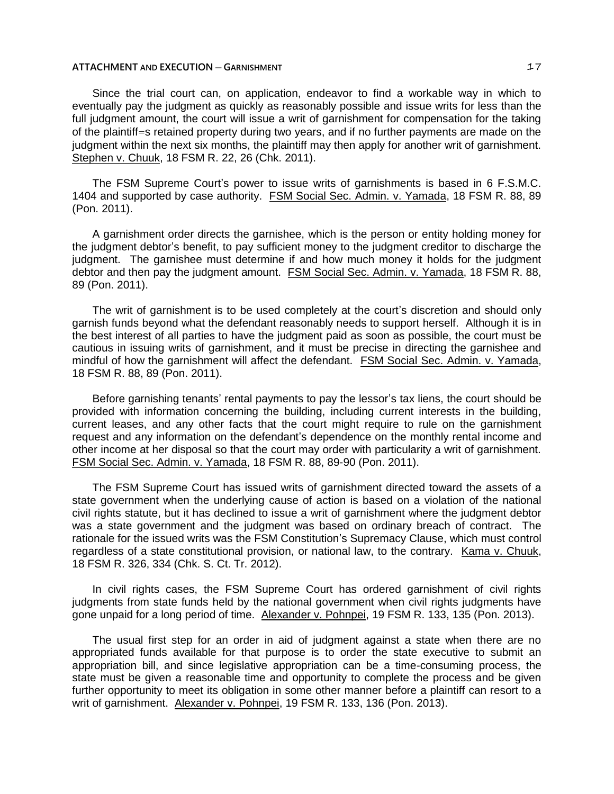Since the trial court can, on application, endeavor to find a workable way in which to eventually pay the judgment as quickly as reasonably possible and issue writs for less than the full judgment amount, the court will issue a writ of garnishment for compensation for the taking of the plaintiff=s retained property during two years, and if no further payments are made on the judgment within the next six months, the plaintiff may then apply for another writ of garnishment. Stephen v. Chuuk, 18 FSM R. 22, 26 (Chk. 2011).

The FSM Supreme Court's power to issue writs of garnishments is based in 6 F.S.M.C. 1404 and supported by case authority. FSM Social Sec. Admin. v. Yamada, 18 FSM R. 88, 89 (Pon. 2011).

A garnishment order directs the garnishee, which is the person or entity holding money for the judgment debtor's benefit, to pay sufficient money to the judgment creditor to discharge the judgment. The garnishee must determine if and how much money it holds for the judgment debtor and then pay the judgment amount. FSM Social Sec. Admin. v. Yamada, 18 FSM R. 88, 89 (Pon. 2011).

The writ of garnishment is to be used completely at the court's discretion and should only garnish funds beyond what the defendant reasonably needs to support herself. Although it is in the best interest of all parties to have the judgment paid as soon as possible, the court must be cautious in issuing writs of garnishment, and it must be precise in directing the garnishee and mindful of how the garnishment will affect the defendant. FSM Social Sec. Admin. v. Yamada, 18 FSM R. 88, 89 (Pon. 2011).

Before garnishing tenants' rental payments to pay the lessor's tax liens, the court should be provided with information concerning the building, including current interests in the building, current leases, and any other facts that the court might require to rule on the garnishment request and any information on the defendant's dependence on the monthly rental income and other income at her disposal so that the court may order with particularity a writ of garnishment. FSM Social Sec. Admin. v. Yamada, 18 FSM R. 88, 89-90 (Pon. 2011).

The FSM Supreme Court has issued writs of garnishment directed toward the assets of a state government when the underlying cause of action is based on a violation of the national civil rights statute, but it has declined to issue a writ of garnishment where the judgment debtor was a state government and the judgment was based on ordinary breach of contract. The rationale for the issued writs was the FSM Constitution's Supremacy Clause, which must control regardless of a state constitutional provision, or national law, to the contrary. Kama v. Chuuk, 18 FSM R. 326, 334 (Chk. S. Ct. Tr. 2012).

In civil rights cases, the FSM Supreme Court has ordered garnishment of civil rights judgments from state funds held by the national government when civil rights judgments have gone unpaid for a long period of time. Alexander v. Pohnpei, 19 FSM R. 133, 135 (Pon. 2013).

The usual first step for an order in aid of judgment against a state when there are no appropriated funds available for that purpose is to order the state executive to submit an appropriation bill, and since legislative appropriation can be a time-consuming process, the state must be given a reasonable time and opportunity to complete the process and be given further opportunity to meet its obligation in some other manner before a plaintiff can resort to a writ of garnishment. Alexander v. Pohnpei, 19 FSM R. 133, 136 (Pon. 2013).